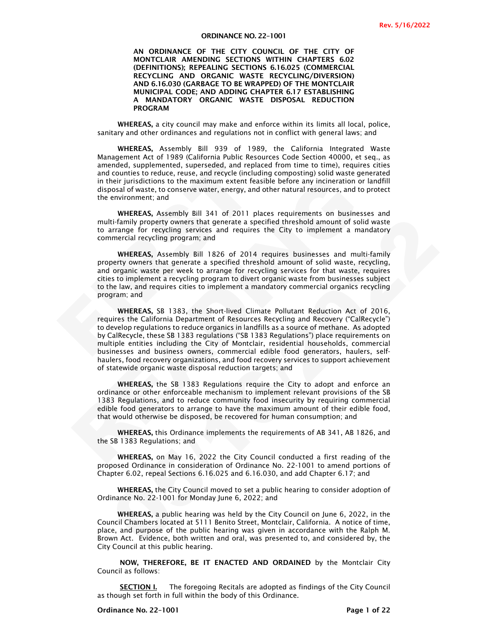#### ORDINANCE NO. 22–1001

AN ORDINANCE OF THE CITY COUNCIL OF THE CITY OF MONTCLAIR AMENDING SECTIONS WITHIN CHAPTERS 6.02 (DEFINITIONS); REPEALING SECTIONS 6.16.025 (COMMERCIAL RECYCLING AND ORGANIC WASTE RECYCLING/DIVERSION) AND 6.16.030 (GARBAGE TO BE WRAPPED) OF THE MONTCLAIR MUNICIPAL CODE; AND ADDING CHAPTER 6.17 ESTABLISHING A MANDATORY ORGANIC WASTE DISPOSAL REDUCTION PROGRAM

WHEREAS, a city council may make and enforce within its limits all local, police, sanitary and other ordinances and regulations not in conflict with general laws; and

WHEREAS, Assembly Bill 939 of 1989, the California Integrated Waste Management Act of 1989 (California Public Resources Code Section 40000, et seq., as amended, supplemented, superseded, and replaced from time to time), requires cities and counties to reduce, reuse, and recycle (including composting) solid waste generated in their jurisdictions to the maximum extent feasible before any incineration or landfill disposal of waste, to conserve water, energy, and other natural resources, and to protect the environment; and

WHEREAS, Assembly Bill 341 of 2011 places requirements on businesses and multi-family property owners that generate a specified threshold amount of solid waste to arrange for recycling services and requires the City to implement a mandatory commercial recycling program; and

WHEREAS, Assembly Bill 1826 of 2014 requires businesses and multi-family property owners that generate a specified threshold amount of solid waste, recycling, and organic waste per week to arrange for recycling services for that waste, requires cities to implement a recycling program to divert organic waste from businesses subject to the law, and requires cities to implement a mandatory commercial organics recycling program; and

amended, supplemented, superseded, and replaced<br>and counties to reduce, reuse, and recycle (including<br>in their jurisdictions to the maximum extent feasibl<br>disposal of waste, to conserve water, energy, and oth<br>the environme in their jurisdictions to the maximum extent feasible before any incineration or land<br>disposal of waste, to conserve water, energy, and other natural resources, and to proton<br>the environment; and<br>the environment and<br>the en the<br>minity property comers that generate a specified threshold amount of solid waste<br>traming from respecting services and requires the City to insplement a mandatory<br>mercial recycling services and requires the City to insp WHEREAS, SB 1383, the Short-lived Climate Pollutant Reduction Act of 2016, requires the California Department of Resources Recycling and Recovery ("CalRecycle") to develop regulations to reduce organics in landfills as a source of methane. As adopted by CalRecycle, these SB 1383 regulations ("SB 1383 Regulations") place requirements on multiple entities including the City of Montclair, residential households, commercial businesses and business owners, commercial edible food generators, haulers, selfhaulers, food recovery organizations, and food recovery services to support achievement of statewide organic waste disposal reduction targets; and

WHEREAS, the SB 1383 Regulations require the City to adopt and enforce an ordinance or other enforceable mechanism to implement relevant provisions of the SB 1383 Regulations, and to reduce community food insecurity by requiring commercial edible food generators to arrange to have the maximum amount of their edible food, that would otherwise be disposed, be recovered for human consumption; and

WHEREAS, this Ordinance implements the requirements of AB 341, AB 1826, and the SB 1383 Regulations; and

WHEREAS, on May 16, 2022 the City Council conducted a first reading of the proposed Ordinance in consideration of Ordinance No. 22-1001 to amend portions of Chapter 6.02, repeal Sections 6.16.025 and 6.16.030, and add Chapter 6.17; and

WHEREAS, the City Council moved to set a public hearing to consider adoption of Ordinance No. 22-1001 for Monday June 6, 2022; and

WHEREAS, a public hearing was held by the City Council on June 6, 2022, in the Council Chambers located at 5111 Benito Street, Montclair, California. A notice of time, place, and purpose of the public hearing was given in accordance with the Ralph M. Brown Act. Evidence, both written and oral, was presented to, and considered by, the City Council at this public hearing.

NOW, THEREFORE, BE IT ENACTED AND ORDAINED by the Montclair City Council as follows:

**SECTION I.** The foregoing Recitals are adopted as findings of the City Council as though set forth in full within the body of this Ordinance.

Ordinance No. 22-1001 **Page 1** of 22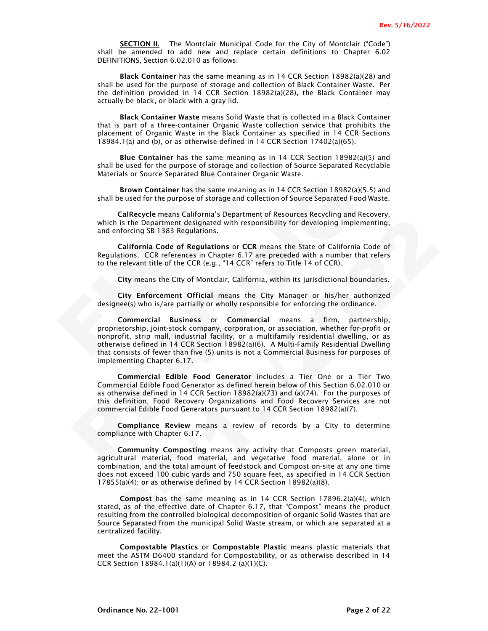SECTION II. The Montclair Municipal Code for the City of Montclair ("Code") shall be amended to add new and replace certain definitions to Chapter 6.02 DEFINITIONS, Section 6.02.010 as follows:

Black Container has the same meaning as in 14 CCR Section 18982(a)(28) and shall be used for the purpose of storage and collection of Black Container Waste. Per the definition provided in 14 CCR Section 18982(a)(28), the Black Container may actually be black, or black with a gray lid.

Black Container Waste means Solid Waste that is collected in a Black Container that is part of a three-container Organic Waste collection service that prohibits the placement of Organic Waste in the Black Container as specified in 14 CCR Sections 18984.1(a) and (b), or as otherwise defined in 14 CCR Section 17402(a)(65).

Blue Container has the same meaning as in 14 CCR Section 18982(a)(5) and shall be used for the purpose of storage and collection of Source Separated Recyclable Materials or Source Separated Blue Container Organic Waste.

Brown Container has the same meaning as in 14 CCR Section 18982(a)(5.5) and shall be used for the purpose of storage and collection of Source Separated Food Waste.

CalRecycle means California's Department of Resources Recycling and Recovery, which is the Department designated with responsibility for developing implementing, and enforcing SB 1383 Regulations.

California Code of Regulations or CCR means the State of California Code of Regulations. CCR references in Chapter 6.17 are preceded with a number that refers to the relevant title of the CCR (e.g., "14 CCR" refers to Title 14 of CCR).

City means the City of Montclair, California, within its jurisdictional boundaries.

City Enforcement Official means the City Manager or his/her authorized designee(s) who is/are partially or wholly responsible for enforcing the ordinance.

Shall be used for the purpose of storage and collect<br>Materials or Source Separated Blue Container Organ<br> **Erown Container** has the same meaning as in<br>
Shall be used for the purpose of storage and collectic<br>
CalRecycle mean **Example 12**<br> **Example 12**<br> **Example 12**<br> **Example 12**<br> **Example 12**<br> **Example 12**<br> **Example 12**<br> **Example 12**<br> **Example 12**<br> **CARING THE DEATERMIE CONSECT CONSECT TO THE UPORT CONSECT THE UPORTION TO THE UPORT THE DEPARTM** ch is the Department designated with responsibility for developing implementing,<br>
and this the Department designations or CCR means the State of California Code of<br>
California Code of Regulations or CCR means the State of Commercial Business or Commercial means a firm, partnership, proprietorship, joint-stock company, corporation, or association, whether for-profit or nonprofit, strip mall, industrial facility, or a multifamily residential dwelling, or as otherwise defined in 14 CCR Section 18982(a)(6). A Multi-Family Residential Dwelling that consists of fewer than five (5) units is not a Commercial Business for purposes of implementing Chapter 6.17.

Commercial Edible Food Generator includes a Tier One or a Tier Two Commercial Edible Food Generator as defined herein below of this Section 6.02.010 or as otherwise defined in 14 CCR Section 18982(a)(73) and (a)(74). For the purposes of this definition, Food Recovery Organizations and Food Recovery Services are not commercial Edible Food Generators pursuant to 14 CCR Section 18982(a)(7).

Compliance Review means a review of records by a City to determine compliance with Chapter 6.17.

Community Composting means any activity that Composts green material, agricultural material, food material, and vegetative food material, alone or in combination, and the total amount of feedstock and Compost on-site at any one time does not exceed 100 cubic yards and 750 square feet, as specified in 14 CCR Section 17855(a)(4); or as otherwise defined by 14 CCR Section 18982(a)(8).

Compost has the same meaning as in 14 CCR Section 17896.2(a)(4), which stated, as of the effective date of Chapter 6.17, that "Compost" means the product resulting from the controlled biological decomposition of organic Solid Wastes that are Source Separated from the municipal Solid Waste stream, or which are separated at a centralized facility.

Compostable Plastics or Compostable Plastic means plastic materials that meet the ASTM D6400 standard for Compostability, or as otherwise described in 14 CCR Section 18984.1(a)(1)(A) or 18984.2 (a)(1)(C).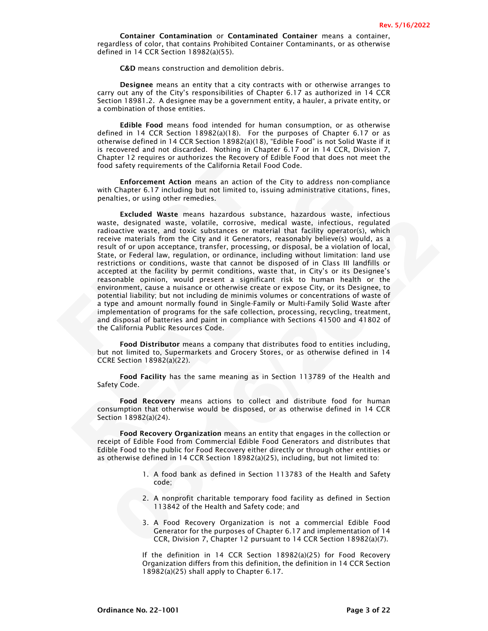Container Contamination or Contaminated Container means a container, regardless of color, that contains Prohibited Container Contaminants, or as otherwise defined in 14 CCR Section 18982(a)(55).

C&D means construction and demolition debris.

Designee means an entity that a city contracts with or otherwise arranges to carry out any of the City's responsibilities of Chapter 6.17 as authorized in 14 CCR Section 18981.2. A designee may be a government entity, a hauler, a private entity, or a combination of those entities.

Edible Food means food intended for human consumption, or as otherwise defined in 14 CCR Section 18982(a)(18). For the purposes of Chapter 6.17 or as otherwise defined in 14 CCR Section 18982(a)(18), "Edible Food" is not Solid Waste if it is recovered and not discarded. Nothing in Chapter 6.17 or in 14 CCR, Division 7, Chapter 12 requires or authorizes the Recovery of Edible Food that does not meet the food safety requirements of the California Retail Food Code.

Enforcement Action means an action of the City to address non-compliance with Chapter 6.17 including but not limited to, issuing administrative citations, fines, penalties, or using other remedies.

Food safety requirements of the California Retail Fo<br>
Food safety requirements of the California Retail Fo<br>
Enforcement Action means an action of th<br>
with Chapter 6.17 including but not limited to, issue<br>
sexualties, or us Enforcement Action means an action of the City to address non-complia<br>
with Chapter 6.17 including but not limited to, issuing administrative citations, fir<br>
with Chapter signated waste infectious substance has the constan te. designated waxte, volatie, corrosive, medical waxte, interditive, regulated was the content of the corrosic metric of the corrosic metric of orthom the City and it Greentators, reasonably believed by would, as a lit of Excluded Waste means hazardous substance, hazardous waste, infectious waste, designated waste, volatile, corrosive, medical waste, infectious, regulated radioactive waste, and toxic substances or material that facility operator(s), which receive materials from the City and it Generators, reasonably believe(s) would, as a result of or upon acceptance, transfer, processing, or disposal, be a violation of local, State, or Federal law, regulation, or ordinance, including without limitation: land use restrictions or conditions, waste that cannot be disposed of in Class III landfills or accepted at the facility by permit conditions, waste that, in City's or its Designee's reasonable opinion, would present a significant risk to human health or the environment, cause a nuisance or otherwise create or expose City, or its Designee, to potential liability; but not including de minimis volumes or concentrations of waste of a type and amount normally found in Single-Family or Multi-Family Solid Waste after implementation of programs for the safe collection, processing, recycling, treatment, and disposal of batteries and paint in compliance with Sections 41500 and 41802 of the California Public Resources Code.

Food Distributor means a company that distributes food to entities including, but not limited to, Supermarkets and Grocery Stores, or as otherwise defined in 14 CCRE Section 18982(a)(22).

Food Facility has the same meaning as in Section 113789 of the Health and Safety Code.

Food Recovery means actions to collect and distribute food for human consumption that otherwise would be disposed, or as otherwise defined in 14 CCR Section 18982(a)(24).

Food Recovery Organization means an entity that engages in the collection or receipt of Edible Food from Commercial Edible Food Generators and distributes that Edible Food to the public for Food Recovery either directly or through other entities or as otherwise defined in 14 CCR Section 18982(a)(25), including, but not limited to:

- 1. A food bank as defined in Section 113783 of the Health and Safety code;
- 2. A nonprofit charitable temporary food facility as defined in Section 113842 of the Health and Safety code; and
- 3. A Food Recovery Organization is not a commercial Edible Food Generator for the purposes of Chapter 6.17 and implementation of 14 CCR, Division 7, Chapter 12 pursuant to 14 CCR Section 18982(a)(7).

If the definition in 14 CCR Section 18982(a)(25) for Food Recovery Organization differs from this definition, the definition in 14 CCR Section 18982(a)(25) shall apply to Chapter 6.17.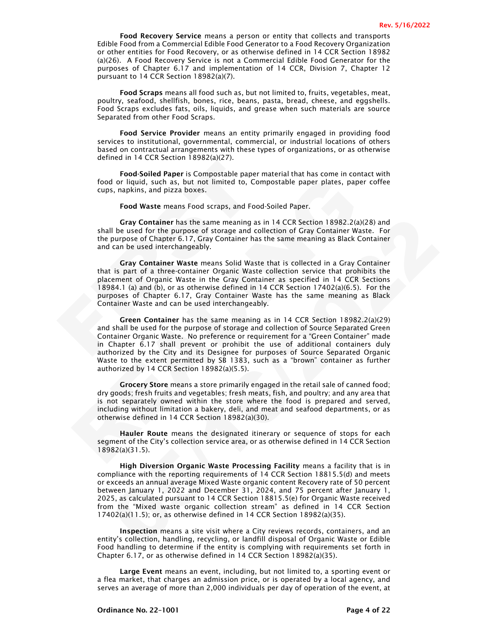Food Recovery Service means a person or entity that collects and transports Edible Food from a Commercial Edible Food Generator to a Food Recovery Organization or other entities for Food Recovery, or as otherwise defined in 14 CCR Section 18982 (a)(26). A Food Recovery Service is not a Commercial Edible Food Generator for the purposes of Chapter 6.17 and implementation of 14 CCR, Division 7, Chapter 12 pursuant to 14 CCR Section 18982(a)(7).

Food Scraps means all food such as, but not limited to, fruits, vegetables, meat, poultry, seafood, shellfish, bones, rice, beans, pasta, bread, cheese, and eggshells. Food Scraps excludes fats, oils, liquids, and grease when such materials are source Separated from other Food Scraps.

Food Service Provider means an entity primarily engaged in providing food services to institutional, governmental, commercial, or industrial locations of others based on contractual arrangements with these types of organizations, or as otherwise defined in 14 CCR Section 18982(a)(27).

Food-Soiled Paper is Compostable paper material that has come in contact with food or liquid, such as, but not limited to, Compostable paper plates, paper coffee cups, napkins, and pizza boxes.

Food Waste means Food scraps, and Food-Soiled Paper.

Gray Container has the same meaning as in 14 CCR Section 18982.2(a)(28) and shall be used for the purpose of storage and collection of Gray Container Waste. For the purpose of Chapter 6.17, Gray Container has the same meaning as Black Container and can be used interchangeably.

Food-Soiled Paper is Compostable paper ma<br>
food or liquid, such as, but not limited to, Compo<br>
cups, napkins, and pizza boxes.<br>
Food Waste means Food scraps, and Food-Si<br>
Gray Container has the same meaning as in<br>
shall be Gray Container Waste means Solid Waste that is collected in a Gray Container that is part of a three-container Organic Waste collection service that prohibits the placement of Organic Waste in the Gray Container as specified in 14 CCR Sections 18984.1 (a) and (b), or as otherwise defined in 14 CCR Section 17402(a)(6.5). For the purposes of Chapter 6.17, Gray Container Waste has the same meaning as Black Container Waste and can be used interchangeably.

food or liquid, such as, but not limited to, Compostable paper plates, paper col<br>cups, naphlins, and pizza boxes.<br>
Food Waste means Food scraps, and Food-Soiled Paper.<br>
For Pool Waste means Food scraps, and Food-Soiled Pa Gray Container has the same meaning as in 14 CCR Section 189822(al(38). and<br>II be used for the gurgoes of storage and collection of Gray Container Waste. For purpose of storage and collection of Gray Container Naste Far ca Green Container has the same meaning as in 14 CCR Section 18982.2(a)(29) and shall be used for the purpose of storage and collection of Source Separated Green Container Organic Waste. No preference or requirement for a "Green Container" made in Chapter 6.17 shall prevent or prohibit the use of additional containers duly authorized by the City and its Designee for purposes of Source Separated Organic Waste to the extent permitted by SB 1383, such as a "brown" container as further authorized by 14 CCR Section 18982(a)(5.5).

Grocery Store means a store primarily engaged in the retail sale of canned food; dry goods; fresh fruits and vegetables; fresh meats, fish, and poultry; and any area that is not separately owned within the store where the food is prepared and served, including without limitation a bakery, deli, and meat and seafood departments, or as otherwise defined in 14 CCR Section 18982(a)(30).

Hauler Route means the designated itinerary or sequence of stops for each segment of the City's collection service area, or as otherwise defined in 14 CCR Section 18982(a)(31.5).

High Diversion Organic Waste Processing Facility means a facility that is in compliance with the reporting requirements of 14 CCR Section 18815.5(d) and meets or exceeds an annual average Mixed Waste organic content Recovery rate of 50 percent between January 1, 2022 and December 31, 2024, and 75 percent after January 1, 2025, as calculated pursuant to 14 CCR Section 18815.5(e) for Organic Waste received from the "Mixed waste organic collection stream" as defined in 14 CCR Section 17402(a)(11.5); or, as otherwise defined in 14 CCR Section 18982(a)(35).

Inspection means a site visit where a City reviews records, containers, and an entity's collection, handling, recycling, or landfill disposal of Organic Waste or Edible Food handling to determine if the entity is complying with requirements set forth in Chapter 6.17, or as otherwise defined in 14 CCR Section 18982(a)(35).

Large Event means an event, including, but not limited to, a sporting event or a flea market, that charges an admission price, or is operated by a local agency, and serves an average of more than 2,000 individuals per day of operation of the event, at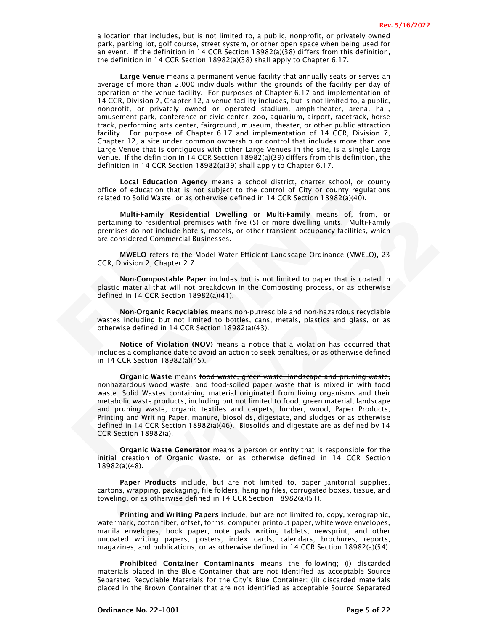a location that includes, but is not limited to, a public, nonprofit, or privately owned park, parking lot, golf course, street system, or other open space when being used for an event. If the definition in 14 CCR Section 18982(a)(38) differs from this definition, the definition in 14 CCR Section 18982(a)(38) shall apply to Chapter 6.17.

Large Venue means a permanent venue facility that annually seats or serves an average of more than 2,000 individuals within the grounds of the facility per day of operation of the venue facility. For purposes of Chapter 6.17 and implementation of 14 CCR, Division 7, Chapter 12, a venue facility includes, but is not limited to, a public, nonprofit, or privately owned or operated stadium, amphitheater, arena, hall, amusement park, conference or civic center, zoo, aquarium, airport, racetrack, horse track, performing arts center, fairground, museum, theater, or other public attraction facility. For purpose of Chapter 6.17 and implementation of 14 CCR, Division 7, Chapter 12, a site under common ownership or control that includes more than one Large Venue that is contiguous with other Large Venues in the site, is a single Large Venue. If the definition in 14 CCR Section 18982(a)(39) differs from this definition, the definition in 14 CCR Section 18982(a(39) shall apply to Chapter 6.17.

Local Education Agency means a school district, charter school, or county office of education that is not subject to the control of City or county regulations related to Solid Waste, or as otherwise defined in 14 CCR Section 18982(a)(40).

definition in 14 CCR Section 18982(a(39) shall appl<br> **Local Education Agency** means a school<br>
office of education that is not subject to the con<br>
related to Solid Waste, or as otherwise defined in 1<br> **Multi-Family Resident** Multi-Family Residential Dwelling or Multi-Family means of, from, or pertaining to residential premises with five (5) or more dwelling units. Multi-Family premises do not include hotels, motels, or other transient occupancy facilities, which are considered Commercial Businesses.

MWELO refers to the Model Water Efficient Landscape Ordinance (MWELO), 23 CCR, Division 2, Chapter 2.7.

Non-Compostable Paper includes but is not limited to paper that is coated in plastic material that will not breakdown in the Composting process, or as otherwise defined in 14 CCR Section 18982(a)(41).

Non-Organic Recyclables means non-putrescible and non-hazardous recyclable wastes including but not limited to bottles, cans, metals, plastics and glass, or as otherwise defined in 14 CCR Section 18982(a)(43).

Notice of Violation (NOV) means a notice that a violation has occurred that includes a compliance date to avoid an action to seek penalties, or as otherwise defined in 14 CCR Section 18982(a)(45).

**Local Education Agenty means a school district, charter school, or county regulations and school of city or county regulations and the solution of the control of City or county regulations and the CC Section 18982(a)(40)** ialianing to residential premises with five (5) or more dwelling units. Multi-Family<br>inises do not include hotels, motels, or other transient occupancy facilities, which<br>considered Commercial Businesses. or other transient Organic Waste means food waste, green waste, landscape and pruning waste, nonhazardous wood waste, and food-soiled paper waste that is mixed in with food waste. Solid Wastes containing material originated from living organisms and their metabolic waste products, including but not limited to food, green material, landscape and pruning waste, organic textiles and carpets, lumber, wood, Paper Products, Printing and Writing Paper, manure, biosolids, digestate, and sludges or as otherwise defined in 14 CCR Section 18982(a)(46). Biosolids and digestate are as defined by 14 CCR Section 18982(a).

Organic Waste Generator means a person or entity that is responsible for the initial creation of Organic Waste, or as otherwise defined in 14 CCR Section 18982(a)(48).

Paper Products include, but are not limited to, paper janitorial supplies, cartons, wrapping, packaging, file folders, hanging files, corrugated boxes, tissue, and toweling, or as otherwise defined in 14 CCR Section 18982(a)(51).

Printing and Writing Papers include, but are not limited to, copy, xerographic, watermark, cotton fiber, offset, forms, computer printout paper, white wove envelopes, manila envelopes, book paper, note pads writing tablets, newsprint, and other uncoated writing papers, posters, index cards, calendars, brochures, reports, magazines, and publications, or as otherwise defined in 14 CCR Section 18982(a)(54).

Prohibited Container Contaminants means the following; (i) discarded materials placed in the Blue Container that are not identified as acceptable Source Separated Recyclable Materials for the City's Blue Container; (ii) discarded materials placed in the Brown Container that are not identified as acceptable Source Separated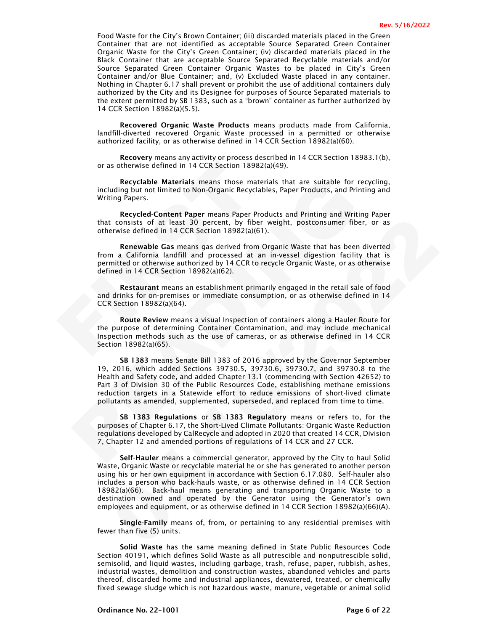Food Waste for the City's Brown Container; (iii) discarded materials placed in the Green Container that are not identified as acceptable Source Separated Green Container Organic Waste for the City's Green Container; (iv) discarded materials placed in the Black Container that are acceptable Source Separated Recyclable materials and/or Source Separated Green Container Organic Wastes to be placed in City's Green Container and/or Blue Container; and, (v) Excluded Waste placed in any container. Nothing in Chapter 6.17 shall prevent or prohibit the use of additional containers duly authorized by the City and its Designee for purposes of Source Separated materials to the extent permitted by SB 1383, such as a "brown" container as further authorized by 14 CCR Section 18982(a)(5.5).

Recovered Organic Waste Products means products made from California, landfill-diverted recovered Organic Waste processed in a permitted or otherwise authorized facility, or as otherwise defined in 14 CCR Section 18982(a)(60).

Recovery means any activity or process described in 14 CCR Section 18983.1(b), or as otherwise defined in 14 CCR Section 18982(a)(49).

Recyclable Materials means those materials that are suitable for recycling, including but not limited to Non-Organic Recyclables, Paper Products, and Printing and Writing Papers.

Recycled-Content Paper means Paper Products and Printing and Writing Paper that consists of at least 30 percent, by fiber weight, postconsumer fiber, or as otherwise defined in 14 CCR Section 18982(a)(61).

or as otherwise defined in 14 CCR Section 18982(a)<br>
Recyclable Materials means those materia<br>
including but not limited to Non-Organic Recyclable<br>
Writing Papers.<br>
Recycled-Content Paper means Paper Prod<br>
that consists of Renewable Gas means gas derived from Organic Waste that has been diverted from a California landfill and processed at an in-vessel digestion facility that is permitted or otherwise authorized by 14 CCR to recycle Organic Waste, or as otherwise defined in 14 CCR Section 18982(a)(62).

Restaurant means an establishment primarily engaged in the retail sale of food and drinks for on-premises or immediate consumption, or as otherwise defined in 14 CCR Section 18982(a)(64).

Route Review means a visual Inspection of containers along a Hauler Route for the purpose of determining Container Contamination, and may include mechanical Inspection methods such as the use of cameras, or as otherwise defined in 14 CCR Section 18982(a)(65).

Recyclable Materials means those materials that are suitable for recyclincing but not limited to Non-Organic Recyclables, Paper Products, and Printing .<br>
Recycled-Content Paper means Paper Products and Printing and Writing SB 1383 means Senate Bill 1383 of 2016 approved by the Governor September 19, 2016, which added Sections 39730.5, 39730.6, 39730.7, and 39730.8 to the Health and Safety code, and added Chapter 13.1 (commencing with Section 42652) to Part 3 of Division 30 of the Public Resources Code, establishing methane emissions reduction targets in a Statewide effort to reduce emissions of short-lived climate pollutants as amended, supplemented, superseded, and replaced from time to time.

SB 1383 Regulations or SB 1383 Regulatory means or refers to, for the purposes of Chapter 6.17, the Short-Lived Climate Pollutants: Organic Waste Reduction regulations developed by CalRecycle and adopted in 2020 that created 14 CCR, Division 7, Chapter 12 and amended portions of regulations of 14 CCR and 27 CCR.

consists of at least 30 percent, by fiber weight, postconsumer ther, or as<br>consists of at least 30 percent, by fiber weight, postconsumer ther, or as<br>herewic defined in 14 CCR Section 1898/2(a)6)).<br>Renewable Gas means gas Self-Hauler means a commercial generator, approved by the City to haul Solid Waste, Organic Waste or recyclable material he or she has generated to another person using his or her own equipment in accordance with Section 6.17.080. Self-hauler also includes a person who back-hauls waste, or as otherwise defined in 14 CCR Section 18982(a)(66). Back-haul means generating and transporting Organic Waste to a destination owned and operated by the Generator using the Generator's own employees and equipment, or as otherwise defined in 14 CCR Section 18982(a)(66)(A).

Single-Family means of, from, or pertaining to any residential premises with fewer than five (5) units.

Solid Waste has the same meaning defined in State Public Resources Code Section 40191, which defines Solid Waste as all putrescible and nonputrescible solid, semisolid, and liquid wastes, including garbage, trash, refuse, paper, rubbish, ashes, industrial wastes, demolition and construction wastes, abandoned vehicles and parts thereof, discarded home and industrial appliances, dewatered, treated, or chemically fixed sewage sludge which is not hazardous waste, manure, vegetable or animal solid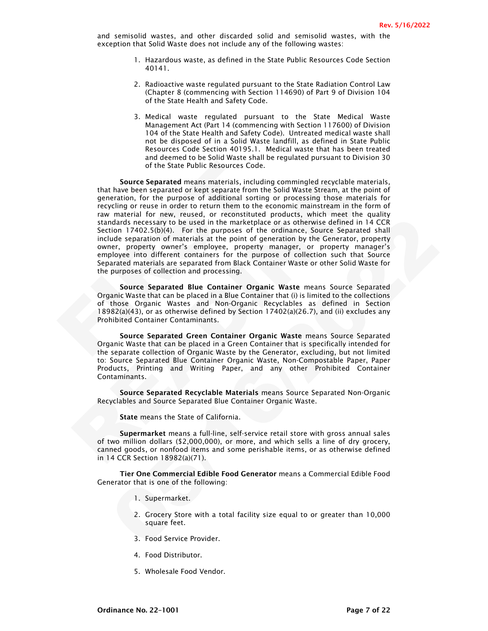and semisolid wastes, and other discarded solid and semisolid wastes, with the exception that Solid Waste does not include any of the following wastes:

- 1. Hazardous waste, as defined in the State Public Resources Code Section 40141.
- 2. Radioactive waste regulated pursuant to the State Radiation Control Law (Chapter 8 (commencing with Section 114690) of Part 9 of Division 104 of the State Health and Safety Code.
- 3. Medical waste regulated pursuant to the State Medical Waste Management Act (Part 14 (commencing with Section 117600) of Division 104 of the State Health and Safety Code). Untreated medical waste shall not be disposed of in a Solid Waste landfill, as defined in State Public Resources Code Section 40195.1. Medical waste that has been treated and deemed to be Solid Waste shall be regulated pursuant to Division 30 of the State Public Resources Code.

of the State Public Resources Code.<br>
Source Separated means materials, including<br>
that have been separated or kept separate from the<br>
generation, for the purpose of additional sorting<br>
recycling or reuse in order to return Source Separated means materials, including commingled recyclable materials<br>that have been separated or kept separate from the Solid Waste Steam, at the poin<br>generation, for the purpose of additional sorting or processing Addats necessary to be used in the matteriate or as chemiste defined in A CGR<br>ion 17402.5(b)/4). For the purposes of the ordinance, Source Separated Shall<br>ion 17402.5(b)/4). For the purposes of the ordinance, Source Separa Source Separated means materials, including commingled recyclable materials, that have been separated or kept separate from the Solid Waste Stream, at the point of generation, for the purpose of additional sorting or processing those materials for recycling or reuse in order to return them to the economic mainstream in the form of raw material for new, reused, or reconstituted products, which meet the quality standards necessary to be used in the marketplace or as otherwise defined in 14 CCR Section 17402.5(b)(4). For the purposes of the ordinance, Source Separated shall include separation of materials at the point of generation by the Generator, property owner, property owner's employee, property manager, or property manager's employee into different containers for the purpose of collection such that Source Separated materials are separated from Black Container Waste or other Solid Waste for the purposes of collection and processing.

Source Separated Blue Container Organic Waste means Source Separated Organic Waste that can be placed in a Blue Container that (i) is limited to the collections of those Organic Wastes and Non-Organic Recyclables as defined in Section 18982(a)(43), or as otherwise defined by Section 17402(a)(26.7), and (ii) excludes any Prohibited Container Contaminants.

Source Separated Green Container Organic Waste means Source Separated Organic Waste that can be placed in a Green Container that is specifically intended for the separate collection of Organic Waste by the Generator, excluding, but not limited to: Source Separated Blue Container Organic Waste, Non-Compostable Paper, Paper Products, Printing and Writing Paper, and any other Prohibited Container Contaminants.

Source Separated Recyclable Materials means Source Separated Non-Organic Recyclables and Source Separated Blue Container Organic Waste.

State means the State of California.

Supermarket means a full-line, self-service retail store with gross annual sales of two million dollars (\$2,000,000), or more, and which sells a line of dry grocery, canned goods, or nonfood items and some perishable items, or as otherwise defined in 14 CCR Section 18982(a)(71).

Tier One Commercial Edible Food Generator means a Commercial Edible Food Generator that is one of the following:

- 1. Supermarket.
- 2. Grocery Store with a total facility size equal to or greater than 10,000 square feet.
- 3. Food Service Provider.
- 4. Food Distributor.
- 5. Wholesale Food Vendor.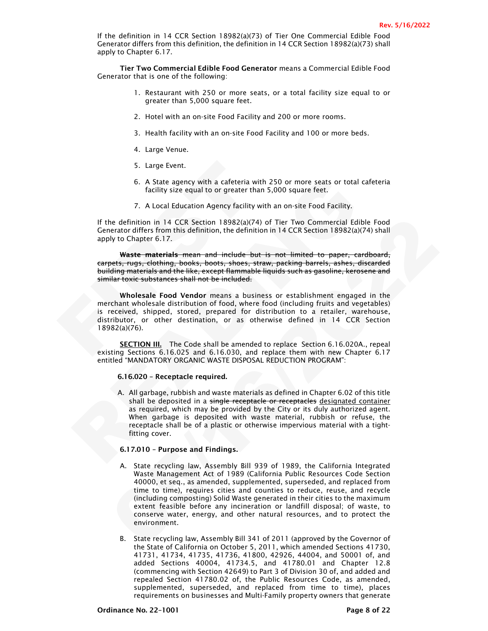If the definition in 14 CCR Section 18982(a)(73) of Tier One Commercial Edible Food Generator differs from this definition, the definition in 14 CCR Section 18982(a)(73) shall apply to Chapter 6.17.

Tier Two Commercial Edible Food Generator means a Commercial Edible Food Generator that is one of the following:

- 1. Restaurant with 250 or more seats, or a total facility size equal to or greater than 5,000 square feet.
- 2. Hotel with an on-site Food Facility and 200 or more rooms.
- 3. Health facility with an on-site Food Facility and 100 or more beds.
- 4. Large Venue.
- 5. Large Event.
- 6. A State agency with a cafeteria with 250 or more seats or total cafeteria facility size equal to or greater than 5,000 square feet.
- 7. A Local Education Agency facility with an on-site Food Facility.

If the definition in 14 CCR Section 18982(a)(74) of Tier Two Commercial Edible Food Generator differs from this definition, the definition in 14 CCR Section 18982(a)(74) shall apply to Chapter 6.17.

Waste materials mean and include but is not limited to paper, cardboard, carpets, rugs, clothing, books, boots, shoes, straw, packing barrels, ashes, discarded building materials and the like, except flammable liquids such as gasoline, kerosene and similar toxic substances shall not be included.

5. Large Event.<br>
6. A State agency with a cafeteria with 2<br>
facility size equal to or greater than 5<br>
7. A Local Education Agency facility with<br>
If the definition in 14 CCR Section 18982(a)(74) of<br>
Generator differs from Wholesale Food Vendor means a business or establishment engaged in the merchant wholesale distribution of food, where food (including fruits and vegetables) is received, shipped, stored, prepared for distribution to a retailer, warehouse, distributor, or other destination, or as otherwise defined in 14 CCR Section 18982(a)(76).

**SECTION III.** The Code shall be amended to replace Section 6.16.020A., repeal existing Sections 6.16.025 and 6.16.030, and replace them with new Chapter 6.17 entitled "MANDATORY ORGANIC WASTE DISPOSAL REDUCTION PROGRAM":

## 6.16.020 – Receptacle required.

6. A State agency with a cafeteria with 250 or more seats or total cafeter<br>facility size equal to or greater than 5,000 square feet.<br>7. A Local Education Agency facility with an on-site Food Facility.<br>If the definition in A. All garbage, rubbish and waste materials as defined in Chapter 6.02 of this title shall be deposited in a single receptacle or receptacles designated container as required, which may be provided by the City or its duly authorized agent. When garbage is deposited with waste material, rubbish or refuse, the receptacle shall be of a plastic or otherwise impervious material with a tightfitting cover.

### 6.17.010 – Purpose and Findings.

- e definition in 14 CCR Section 18982(a)(74) of Tier Two Commercial Edible Food<br>erator differs from this definition, the definition in 14 CCR Section 18982(a)(74) shall<br>vto Chapter 6.17.<br>Waster matchining, books, boots, boo A. State recycling law, Assembly Bill 939 of 1989, the California Integrated Waste Management Act of 1989 (California Public Resources Code Section 40000, et seq., as amended, supplemented, superseded, and replaced from time to time), requires cities and counties to reduce, reuse, and recycle (including composting) Solid Waste generated in their cities to the maximum extent feasible before any incineration or landfill disposal; of waste, to conserve water, energy, and other natural resources, and to protect the environment.
	- B. State recycling law, Assembly Bill 341 of 2011 (approved by the Governor of the State of California on October 5, 2011, which amended Sections 41730, 41731, 41734, 41735, 41736, 41800, 42926, 44004, and 50001 of, and added Sections 40004, 41734.5, and 41780.01 and Chapter 12.8 (commencing with Section 42649) to Part 3 of Division 30 of, and added and repealed Section 41780.02 of, the Public Resources Code, as amended, supplemented, superseded, and replaced from time to time), places requirements on businesses and Multi-Family property owners that generate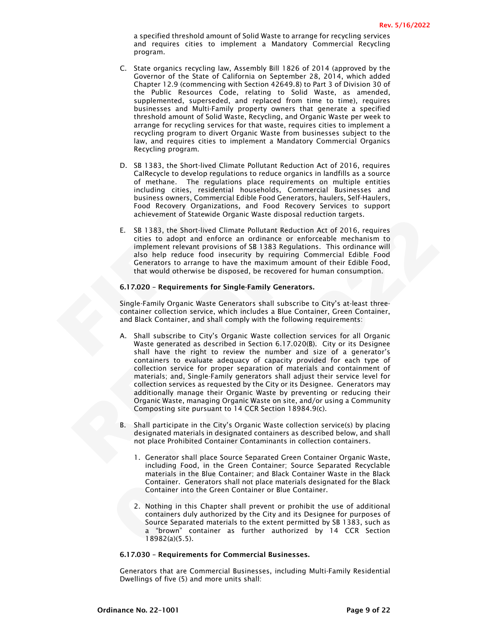a specified threshold amount of Solid Waste to arrange for recycling services and requires cities to implement a Mandatory Commercial Recycling program.

- C. State organics recycling law, Assembly Bill 1826 of 2014 (approved by the Governor of the State of California on September 28, 2014, which added Chapter 12.9 (commencing with Section 42649.8) to Part 3 of Division 30 of the Public Resources Code, relating to Solid Waste, as amended, supplemented, superseded, and replaced from time to time), requires businesses and Multi-Family property owners that generate a specified threshold amount of Solid Waste, Recycling, and Organic Waste per week to arrange for recycling services for that waste, requires cities to implement a recycling program to divert Organic Waste from businesses subject to the law, and requires cities to implement a Mandatory Commercial Organics Recycling program.
- D. SB 1383, the Short-lived Climate Pollutar<br>CalRecycle to develop regulations to red<br>of methane. The regulations place r<br>including cities, residential househol<br>business owners, Commercial Edible Foo<br>Food Recovery Organiza D. SB 1383, the Short-lived Climate Pollutant Reduction Act of 2016, requires CalRecycle to develop regulations to reduce organics in landfills as a source of methane. The regulations place requirements on multiple entities including cities, residential households, Commercial Businesses and business owners, Commercial Edible Food Generators, haulers, Self-Haulers, Food Recovery Organizations, and Food Recovery Services to support achievement of Statewide Organic Waste disposal reduction targets.
	- E. SB 1383, the Short-lived Climate Pollutant Reduction Act of 2016, requires cities to adopt and enforce an ordinance or enforceable mechanism to implement relevant provisions of SB 1383 Regulations. This ordinance will also help reduce food insecurity by requiring Commercial Edible Food Generators to arrange to have the maximum amount of their Edible Food, that would otherwise be disposed, be recovered for human consumption.

#### 6.17.020 – Requirements for Single-Family Generators.

Single-Family Organic Waste Generators shall subscribe to City's at-least threecontainer collection service, which includes a Blue Container, Green Container, and Black Container, and shall comply with the following requirements:

- of methane. The regulations place requirements on multiple entit<br>Including cities, residential households, Commercial Businesses invisions of methanic multiple entities of the covery Organizations, and Food Recovery Servic E. SB 1383, the Short-lived Climate Pollutant Reduction Act of 2016, requires<br>cites to adopt and enforce an ordinance or enforceable mechanism to<br>implement relevant provisions of SB 1383 Regulations. This ordinance will<br>al A. Shall subscribe to City's Organic Waste collection services for all Organic Waste generated as described in Section 6.17.020(B). City or its Designee shall have the right to review the number and size of a generator's containers to evaluate adequacy of capacity provided for each type of collection service for proper separation of materials and containment of materials; and, Single-Family generators shall adjust their service level for collection services as requested by the City or its Designee. Generators may additionally manage their Organic Waste by preventing or reducing their Organic Waste, managing Organic Waste on site, and/or using a Community Composting site pursuant to 14 CCR Section 18984.9(c).
	- B. Shall participate in the City's Organic Waste collection service(s) by placing designated materials in designated containers as described below, and shall not place Prohibited Container Contaminants in collection containers.
		- 1. Generator shall place Source Separated Green Container Organic Waste, including Food, in the Green Container; Source Separated Recyclable materials in the Blue Container; and Black Container Waste in the Black Container. Generators shall not place materials designated for the Black Container into the Green Container or Blue Container.
		- 2. Nothing in this Chapter shall prevent or prohibit the use of additional containers duly authorized by the City and its Designee for purposes of Source Separated materials to the extent permitted by SB 1383, such as a "brown" container as further authorized by 14 CCR Section 18982(a)(5.5).

#### 6.17.030 – Requirements for Commercial Businesses.

Generators that are Commercial Businesses, including Multi-Family Residential Dwellings of five (5) and more units shall: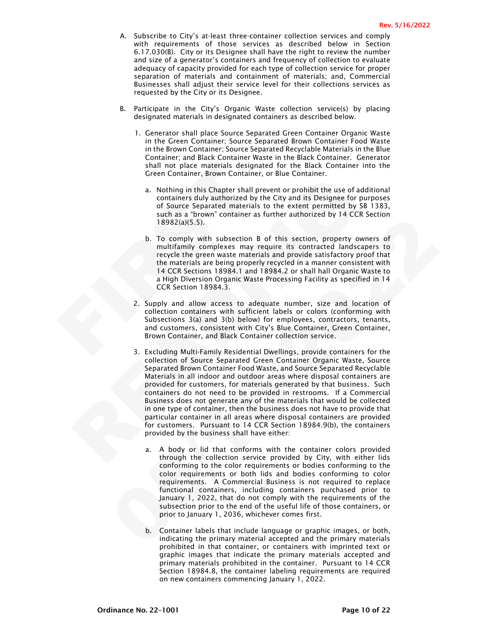- A. Subscribe to City's at-least three-container collection services and comply with requirements of those services as described below in Section 6.17.030(B). City or its Designee shall have the right to review the number and size of a generator's containers and frequency of collection to evaluate adequacy of capacity provided for each type of collection service for proper separation of materials and containment of materials; and, Commercial Businesses shall adjust their service level for their collections services as requested by the City or its Designee.
- B. Participate in the City's Organic Waste collection service(s) by placing designated materials in designated containers as described below.
	- 1. Generator shall place Source Separated Green Container Organic Waste in the Green Container; Source Separated Brown Container Food Waste in the Brown Container; Source Separated Recyclable Materials in the Blue Container; and Black Container Waste in the Black Container. Generator shall not place materials designated for the Black Container into the Green Container, Brown Container, or Blue Container.
		- a. Nothing in this Chapter shall prevent or prohibit the use of additional containers duly authorized by the City and its Designee for purposes of Source Separated materials to the extent permitted by SB 1383, such as a "brown" container as further authorized by 14 CCR Section 18982(a)(5.5).
- Shall not place materials designated<br>
Green Container, Brown Container, or<br>
a. Nothing in this Chapter shall preventining and the solution<br>
of Source Separated materials to<br>
such as a "brown" container as function<br>
18982(a b. To comply with subsection B of this section, property owners of multifamily complexes may require its contracted landscapers to recycle the green waste materials and provide satisfactory proof that the materials are being properly recycled in a manner consistent with 14 CCR Sections 18984.1 and 18984.2 or shall hall Organic Waste to a High Diversion Organic Waste Processing Facility as specified in 14 CCR Section 18984.3.
	- 2. Supply and allow access to adequate number, size and location of collection containers with sufficient labels or colors (conforming with Subsections 3(a) and 3(b) below) for employees, contractors, tenants, and customers, consistent with City's Blue Container, Green Container, Brown Container, and Black Container collection service.
	- Example in this Chapter shall prevent or porbiblit the use of additional containers duly authorized by the City and its Designee for purpose of protocol of Source Separated materials to the extent permitted by SB 13 such a 189822(a)[5.5],<br>
	189822(a)[5.5],<br>
	189822(a)[5.5],<br>
	189822(a)[5.5],<br>
	189822(a)[5.5],<br>
	18982(a)[5.5],<br>
	18982(a)[5.5],<br>
	18982(a)[5.5],<br>
	18992(a)[18] complexies may require its contracted landscapers to<br>
	recycle the premise ma 3. Excluding Multi-Family Residential Dwellings, provide containers for the collection of Source Separated Green Container Organic Waste, Source Separated Brown Container Food Waste, and Source Separated Recyclable Materials in all indoor and outdoor areas where disposal containers are provided for customers, for materials generated by that business. Such containers do not need to be provided in restrooms. If a Commercial Business does not generate any of the materials that would be collected in one type of container, then the business does not have to provide that particular container in all areas where disposal containers are provided for customers. Pursuant to 14 CCR Section 18984.9(b), the containers provided by the business shall have either:
		- a. A body or lid that conforms with the container colors provided through the collection service provided by City, with either lids conforming to the color requirements or bodies conforming to the color requirements or both lids and bodies conforming to color requirements. A Commercial Business is not required to replace functional containers, including containers purchased prior to January 1, 2022, that do not comply with the requirements of the subsection prior to the end of the useful life of those containers, or prior to January 1, 2036, whichever comes first.
		- b. Container labels that include language or graphic images, or both, indicating the primary material accepted and the primary materials prohibited in that container, or containers with imprinted text or graphic images that indicate the primary materials accepted and primary materials prohibited in the container. Pursuant to 14 CCR Section 18984.8, the container labeling requirements are required on new containers commencing January 1, 2022.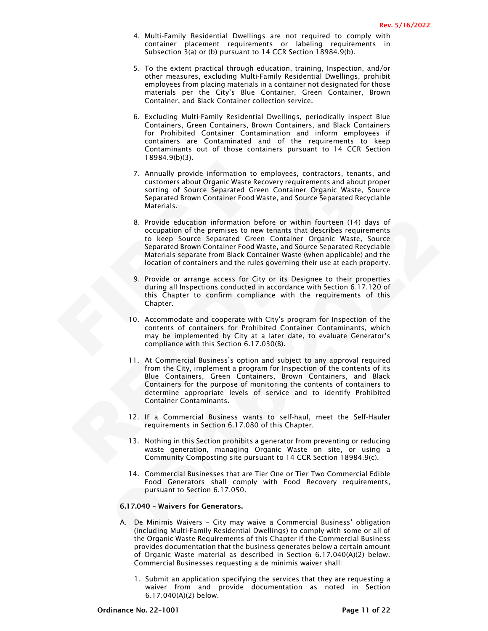- 4. Multi-Family Residential Dwellings are not required to comply with container placement requirements or labeling requirements in Subsection 3(a) or (b) pursuant to 14 CCR Section 18984.9(b).
- 5. To the extent practical through education, training, Inspection, and/or other measures, excluding Multi-Family Residential Dwellings, prohibit employees from placing materials in a container not designated for those materials per the City's Blue Container, Green Container, Brown Container, and Black Container collection service.
- 6. Excluding Multi-Family Residential Dwellings, periodically inspect Blue Containers, Green Containers, Brown Containers, and Black Containers for Prohibited Container Contamination and inform employees if containers are Contaminated and of the requirements to keep Contaminants out of those containers pursuant to 14 CCR Section 18984.9(b)(3).
- 7. Annually provide information to employees, contractors, tenants, and customers about Organic Waste Recovery requirements and about proper sorting of Source Separated Green Container Organic Waste, Source Separated Brown Container Food Waste, and Source Separated Recyclable Materials.
- 7. Annually provide information to em<br>
customers about Organic Waste Recovering of Source Separated Green<br>
Separated Brown Container Food Wast<br>
Materials.<br>
8. Provide education information befor<br>
occupation of the premises customers about Organic Waste Recovery requirements and about processor<br>tring of Source Separated Green Container Organic Waste, Sourcesters<br>Separated Brown Container Food Waste, and Source Separated Recycle<br>Separated Brow 8. Provide education information before are within fourteen (14) days of<br>cocupation of the premises to new tenants that describes requirements<br>to beep Source Separated Green Container Groating Correations<br>Separated Brown C 8. Provide education information before or within fourteen (14) days of occupation of the premises to new tenants that describes requirements to keep Source Separated Green Container Organic Waste, Source Separated Brown Container Food Waste, and Source Separated Recyclable Materials separate from Black Container Waste (when applicable) and the location of containers and the rules governing their use at each property.
	- 9. Provide or arrange access for City or its Designee to their properties during all Inspections conducted in accordance with Section 6.17.120 of this Chapter to confirm compliance with the requirements of this Chapter.
	- 10. Accommodate and cooperate with City's program for Inspection of the contents of containers for Prohibited Container Contaminants, which may be implemented by City at a later date, to evaluate Generator's compliance with this Section 6.17.030(B).
	- 11. At Commercial Business's option and subject to any approval required from the City, implement a program for Inspection of the contents of its Blue Containers, Green Containers, Brown Containers, and Black Containers for the purpose of monitoring the contents of containers to determine appropriate levels of service and to identify Prohibited Container Contaminants.
	- 12. If a Commercial Business wants to self-haul, meet the Self-Hauler requirements in Section 6.17.080 of this Chapter.
	- 13. Nothing in this Section prohibits a generator from preventing or reducing waste generation, managing Organic Waste on site, or using a Community Composting site pursuant to 14 CCR Section 18984.9(c).
	- 14. Commercial Businesses that are Tier One or Tier Two Commercial Edible Food Generators shall comply with Food Recovery requirements, pursuant to Section 6.17.050.

## 6.17.040 – Waivers for Generators.

- A. De Minimis Waivers City may waive a Commercial Business' obligation (including Multi-Family Residential Dwellings) to comply with some or all of the Organic Waste Requirements of this Chapter if the Commercial Business provides documentation that the business generates below a certain amount of Organic Waste material as described in Section 6.17.040(A)(2) below. Commercial Businesses requesting a de minimis waiver shall:
	- 1. Submit an application specifying the services that they are requesting a waiver from and provide documentation as noted in Section 6.17.040(A)(2) below.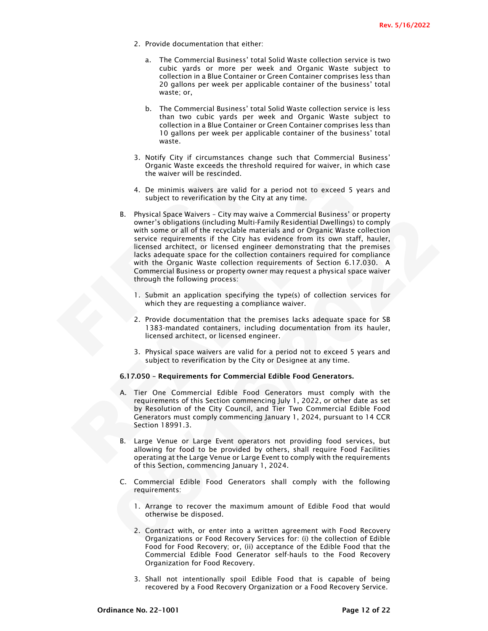- 2. Provide documentation that either:
	- a. The Commercial Business' total Solid Waste collection service is two cubic yards or more per week and Organic Waste subject to collection in a Blue Container or Green Container comprises less than 20 gallons per week per applicable container of the business' total waste; or,
	- b. The Commercial Business' total Solid Waste collection service is less than two cubic yards per week and Organic Waste subject to collection in a Blue Container or Green Container comprises less than 10 gallons per week per applicable container of the business' total waste.
- 3. Notify City if circumstances change such that Commercial Business' Organic Waste exceeds the threshold required for waiver, in which case the waiver will be rescinded.
- 4. De minimis waivers are valid for a period not to exceed 5 years and subject to reverification by the City at any time.
- Organic Waste exceeds the threshold<br>the waiver will be rescinded.<br>4. De minimis waivers are valid for a<br>subject to reverification by the City at<br>B. Physical Space Waivers City may waive in<br>owner's obligations (including 4. De minimis wavetes are valid for a period not to exceed 5 years subject to reverification by the City at any time.<br>
B. Physical Space Walvers - City may wave a Conmercial Business' or proposers and conserved and conserv owner's obligations (uncluding Multi-Family Residential Dowintons (uncluding the comply<br>with some or all of the recyclable materials and or Organic Waste collection<br>service requirements if the City has evidence from its ow B. Physical Space Waivers – City may waive a Commercial Business' or property owner's obligations (including Multi-Family Residential Dwellings) to comply with some or all of the recyclable materials and or Organic Waste collection service requirements if the City has evidence from its own staff, hauler, licensed architect, or licensed engineer demonstrating that the premises lacks adequate space for the collection containers required for compliance with the Organic Waste collection requirements of Section 6.17.030. A Commercial Business or property owner may request a physical space waiver through the following process:
	- 1. Submit an application specifying the type(s) of collection services for which they are requesting a compliance waiver.
	- 2. Provide documentation that the premises lacks adequate space for SB 1383-mandated containers, including documentation from its hauler, licensed architect, or licensed engineer.
	- 3. Physical space waivers are valid for a period not to exceed 5 years and subject to reverification by the City or Designee at any time.

## 6.17.050 – Requirements for Commercial Edible Food Generators.

- A. Tier One Commercial Edible Food Generators must comply with the requirements of this Section commencing July 1, 2022, or other date as set by Resolution of the City Council, and Tier Two Commercial Edible Food Generators must comply commencing January 1, 2024, pursuant to 14 CCR Section 18991.3.
- Large Venue or Large Event operators not providing food services, but allowing for food to be provided by others, shall require Food Facilities operating at the Large Venue or Large Event to comply with the requirements of this Section, commencing January 1, 2024.
- C. Commercial Edible Food Generators shall comply with the following requirements:
	- 1. Arrange to recover the maximum amount of Edible Food that would otherwise be disposed.
	- 2. Contract with, or enter into a written agreement with Food Recovery Organizations or Food Recovery Services for: (i) the collection of Edible Food for Food Recovery; or, (ii) acceptance of the Edible Food that the Commercial Edible Food Generator self-hauls to the Food Recovery Organization for Food Recovery.
	- 3. Shall not intentionally spoil Edible Food that is capable of being recovered by a Food Recovery Organization or a Food Recovery Service.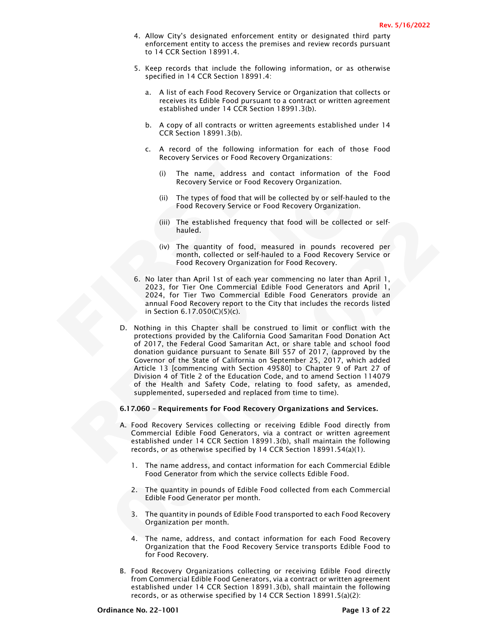- 4. Allow City's designated enforcement entity or designated third party enforcement entity to access the premises and review records pursuant to 14 CCR Section 18991.4.
- 5. Keep records that include the following information, or as otherwise specified in 14 CCR Section 18991.4:
	- a. A list of each Food Recovery Service or Organization that collects or receives its Edible Food pursuant to a contract or written agreement established under 14 CCR Section 18991.3(b).
	- b. A copy of all contracts or written agreements established under 14 CCR Section 18991.3(b).
	- c. A record of the following information for each of those Food Recovery Services or Food Recovery Organizations:
		- (i) The name, address and contact information of the Food Recovery Service or Food Recovery Organization.
		- (ii) The types of food that will be collected by or self-hauled to the Food Recovery Service or Food Recovery Organization.
		- (iii) The established frequency that food will be collected or selfhauled.
		- (iv) The quantity of food, measured in pounds recovered per month, collected or self-hauled to a Food Recovery Service or Food Recovery Organization for Food Recovery.
- (i) The name, address and (<br>
Recovery Service or Food Re<br>
(ii) The types of food that will b<br>
Food Recovery Service or Fo<br>
(iii) The established frequency 1<br>
(iii) The established frequency 1<br>
hauled.<br>
(iv) The quantity o 6. No later than April 1st of each year commencing no later than April 1, 2023, for Tier One Commercial Edible Food Generators and April 1, 2024, for Tier Two Commercial Edible Food Generators provide an annual Food Recovery report to the City that includes the records listed in Section 6.17.050(C)(5)(c).
	- Recovery Service or Food Recovery Organization.<br>
	Recovery Service or Food Recovery Organization.<br>
	(ii) The types of food that will be collected by or self-hauled to<br>
	frood Recovery Service or Food Recovery Organization.<br>
	( (iii) The established frequency that food will be collected or self-<br>
	(iv) The quantity of food, measured in pounds recovered per<br>
	month, collected or self-hauled to a Food Recovery Service or<br>
	Food Recovery Organization D. Nothing in this Chapter shall be construed to limit or conflict with the protections provided by the California Good Samaritan Food Donation Act of 2017, the Federal Good Samaritan Act, or share table and school food donation guidance pursuant to Senate Bill 557 of 2017, (approved by the Governor of the State of California on September 25, 2017, which added Article 13 [commencing with Section 49580] to Chapter 9 of Part 27 of Division 4 of Title 2 of the Education Code, and to amend Section 114079 of the Health and Safety Code, relating to food safety, as amended, supplemented, superseded and replaced from time to time).
		- 6.17.060 Requirements for Food Recovery Organizations and Services.
		- A. Food Recovery Services collecting or receiving Edible Food directly from Commercial Edible Food Generators, via a contract or written agreement established under 14 CCR Section 18991.3(b), shall maintain the following records, or as otherwise specified by 14 CCR Section 18991.54(a)(1).
			- 1. The name address, and contact information for each Commercial Edible Food Generator from which the service collects Edible Food.
			- 2. The quantity in pounds of Edible Food collected from each Commercial Edible Food Generator per month.
			- 3. The quantity in pounds of Edible Food transported to each Food Recovery Organization per month.
			- 4. The name, address, and contact information for each Food Recovery Organization that the Food Recovery Service transports Edible Food to for Food Recovery.
		- B. Food Recovery Organizations collecting or receiving Edible Food directly from Commercial Edible Food Generators, via a contract or written agreement established under 14 CCR Section 18991.3(b), shall maintain the following records, or as otherwise specified by 14 CCR Section 18991.5(a)(2):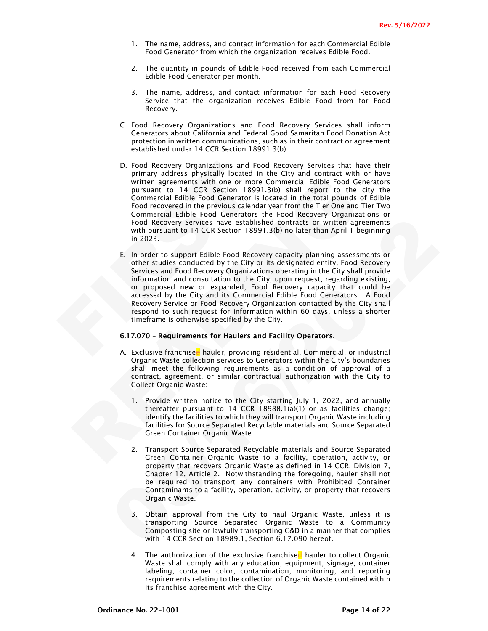- 1. The name, address, and contact information for each Commercial Edible Food Generator from which the organization receives Edible Food.
- 2. The quantity in pounds of Edible Food received from each Commercial Edible Food Generator per month.
- 3. The name, address, and contact information for each Food Recovery Service that the organization receives Edible Food from for Food Recovery.
- C. Food Recovery Organizations and Food Recovery Services shall inform Generators about California and Federal Good Samaritan Food Donation Act protection in written communications, such as in their contract or agreement established under 14 CCR Section 18991.3(b).
- D. Food Recovery Organizations and Food<br>primary address physically located in th<br>written agreements with one or more Cor<br>pursuant to 14 CCR Section 18991.3<br>Commercial Edible Food Generator is loc<br>Food recovered in the prev D. Food Recovery Organizations and Food Recovery Services that have their primary address physically located in the City and contract with or have written agreements with one or more Commercial Edible Food Generators pursuant to 14 CCR Section 18991.3(b) shall report to the city the Commercial Edible Food Generator is located in the total pounds of Edible Food recovered in the previous calendar year from the Tier One and Tier Two Commercial Edible Food Generators the Food Recovery Organizations or Food Recovery Services have established contracts or written agreements with pursuant to 14 CCR Section 18991.3(b) no later than April 1 beginning in 2023.
	- Fritten agreements with one or more Commercial Edible Food Generator<br>
	urstant to 14 CCR Section 18991.3(b) shall report to the city<br>
	pursuant to 14 CCR Section 18991.3(b) shall report to the city<br>
	commercial Edible Food Ge Frod Recovery Services have established contracts or written agreements<br>
	are on Recovery Services have established contracts or written agreements<br>
	with pursuant to 14 CCR Section 189913(b) no later than April 1 beginning<br> E. In order to support Edible Food Recovery capacity planning assessments or other studies conducted by the City or its designated entity, Food Recovery Services and Food Recovery Organizations operating in the City shall provide information and consultation to the City, upon request, regarding existing, or proposed new or expanded, Food Recovery capacity that could be accessed by the City and its Commercial Edible Food Generators. A Food Recovery Service or Food Recovery Organization contacted by the City shall respond to such request for information within 60 days, unless a shorter timeframe is otherwise specified by the City.

#### 6.17.070 – Requirements for Haulers and Facility Operators.

- A. Exclusive franchised hauler, providing residential, Commercial, or industrial Organic Waste collection services to Generators within the City's boundaries shall meet the following requirements as a condition of approval of a contract, agreement, or similar contractual authorization with the City to Collect Organic Waste:
	- 1. Provide written notice to the City starting July 1, 2022, and annually thereafter pursuant to 14 CCR 18988.1(a)(1) or as facilities change; identify the facilities to which they will transport Organic Waste including facilities for Source Separated Recyclable materials and Source Separated Green Container Organic Waste.
	- 2. Transport Source Separated Recyclable materials and Source Separated Green Container Organic Waste to a facility, operation, activity, or property that recovers Organic Waste as defined in 14 CCR, Division 7, Chapter 12, Article 2. Notwithstanding the foregoing, hauler shall not be required to transport any containers with Prohibited Container Contaminants to a facility, operation, activity, or property that recovers Organic Waste.
	- 3. Obtain approval from the City to haul Organic Waste, unless it is transporting Source Separated Organic Waste to a Community Composting site or lawfully transporting C&D in a manner that complies with 14 CCR Section 18989.1, Section 6.17.090 hereof.
	- 4. The authorization of the exclusive franchised hauler to collect Organic Waste shall comply with any education, equipment, signage, container labeling, container color, contamination, monitoring, and reporting requirements relating to the collection of Organic Waste contained within its franchise agreement with the City.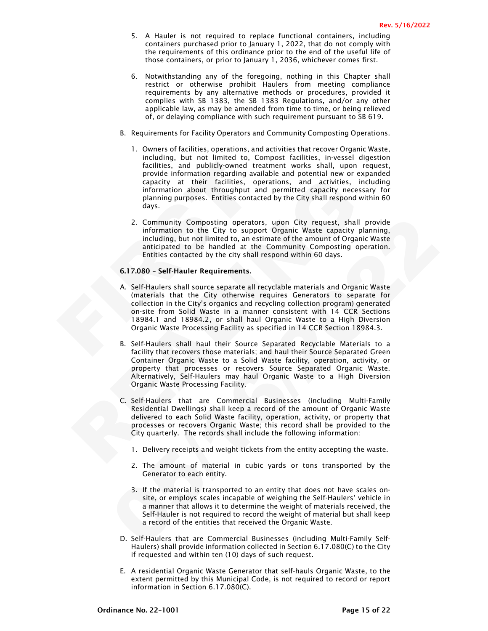- 5. A Hauler is not required to replace functional containers, including containers purchased prior to January 1, 2022, that do not comply with the requirements of this ordinance prior to the end of the useful life of those containers, or prior to January 1, 2036, whichever comes first.
- 6. Notwithstanding any of the foregoing, nothing in this Chapter shall restrict or otherwise prohibit Haulers from meeting compliance requirements by any alternative methods or procedures, provided it complies with SB 1383, the SB 1383 Regulations, and/or any other applicable law, as may be amended from time to time, or being relieved of, or delaying compliance with such requirement pursuant to SB 619.
- B. Requirements for Facility Operators and Community Composting Operations.
	- 1. Owners of facilities, operations, and activities that recover Organic Waste, including, but not limited to, Compost facilities, in-vessel digestion facilities, and publicly-owned treatment works shall, upon request, provide information regarding available and potential new or expanded capacity at their facilities, operations, and activities, including information about throughput and permitted capacity necessary for planning purposes. Entities contacted by the City shall respond within 60 days.
	- 2. Community Composting operators, upon City request, shall provide information to the City to support Organic Waste capacity planning, including, but not limited to, an estimate of the amount of Organic Waste anticipated to be handled at the Community Composting operation. Entities contacted by the city shall respond within 60 days.

## 6.17.080 – Self-Hauler Requirements.

- facilities, and publicly-owned treatm<br>provide information regarding availab<br>capacity at their facilities, opera<br>information about throughput and<br>planning purposes. Entities contacted<br>days.<br>2. Community Composting operators A. Self-Haulers shall source separate all recyclable materials and Organic Waste (materials that the City otherwise requires Generators to separate for collection in the City's organics and recycling collection program) generated on-site from Solid Waste in a manner consistent with 14 CCR Sections 18984.1 and 18984.2, or shall haul Organic Waste to a High Diversion Organic Waste Processing Facility as specified in 14 CCR Section 18984.3.
	- capacity at their facilities, operators, and activities, including information about through-<br>tinformation about throughplat and permitted capacity necessary<br>planning purposes. Entities contacted by the City shall respond 2. Community Composting operators, upon City requests, shall provide<br>information to the City to support Organic Waste capacity planning,<br>including, but not limited to, an estimate of the amount of Organic Waste<br>anticipated B. Self-Haulers shall haul their Source Separated Recyclable Materials to a facility that recovers those materials; and haul their Source Separated Green Container Organic Waste to a Solid Waste facility, operation, activity, or property that processes or recovers Source Separated Organic Waste. Alternatively, Self-Haulers may haul Organic Waste to a High Diversion Organic Waste Processing Facility.
		- C. Self-Haulers that are Commercial Businesses (including Multi-Family Residential Dwellings) shall keep a record of the amount of Organic Waste delivered to each Solid Waste facility, operation, activity, or property that processes or recovers Organic Waste; this record shall be provided to the City quarterly. The records shall include the following information:
			- 1. Delivery receipts and weight tickets from the entity accepting the waste.
			- 2. The amount of material in cubic yards or tons transported by the Generator to each entity.
			- 3. If the material is transported to an entity that does not have scales onsite, or employs scales incapable of weighing the Self-Haulers' vehicle in a manner that allows it to determine the weight of materials received, the Self-Hauler is not required to record the weight of material but shall keep a record of the entities that received the Organic Waste.
		- D. Self-Haulers that are Commercial Businesses (including Multi-Family Self-Haulers) shall provide information collected in Section 6.17.080(C) to the City if requested and within ten (10) days of such request.
		- E. A residential Organic Waste Generator that self-hauls Organic Waste, to the extent permitted by this Municipal Code, is not required to record or report information in Section 6.17.080(C).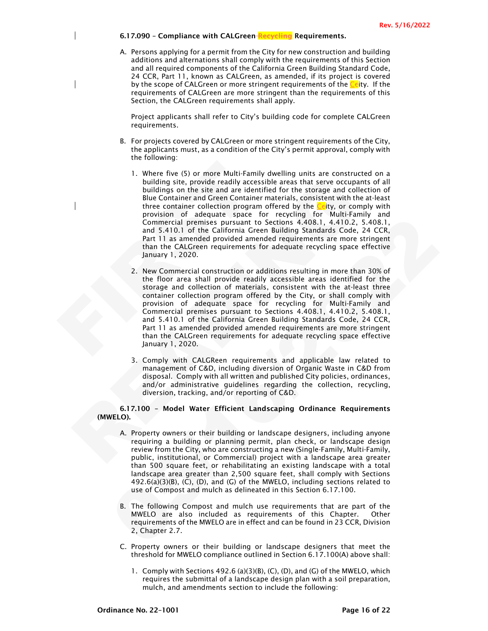6.17.090 - Compliance with CALGreen Recycling Requirements.

A. Persons applying for a permit from the City for new construction and building additions and alternations shall comply with the requirements of this Section and all required components of the California Green Building Standard Code, 24 CCR, Part 11, known as CALGreen, as amended, if its project is covered by the scope of CALGreen or more stringent requirements of the  $C_{\rm e}$  ity. If the requirements of CALGreen are more stringent than the requirements of this Section, the CALGreen requirements shall apply.

Project applicants shall refer to City's building code for complete CALGreen requirements.

- B. For projects covered by CALGreen or more stringent requirements of the City, the applicants must, as a condition of the City's permit approval, comply with the following:
- 1. Where five (5) or more Multi-Family d<br>building site, provide readily accessib<br>buildings on the site and are identified<br>Blue Container and Green Container m<br>three container and Green Container m<br>chrowision of adequate sp building site, provide readily accessible areas that serve occupants of<br>buildings on the site and are identified for the storage and collection<br>Bulldings on the site and are identified for the storage and collection<br>Bulle 1. Where five (5) or more Multi-Family dwelling units are constructed on a building site, provide readily accessible areas that serve occupants of all buildings on the site and are identified for the storage and collection of Blue Container and Green Container materials, consistent with the at-least three container collection program offered by the  $C$  tity, or comply with provision of adequate space for recycling for Multi-Family and Commercial premises pursuant to Sections 4.408.1, 4.410.2, 5.408.1, and 5.410.1 of the California Green Building Standards Code, 24 CCR, Part 11 as amended provided amended requirements are more stringent than the CALGreen requirements for adequate recycling space effective January 1, 2020.
	- Commercial premises pursuant to Sections. 4.4081, 4.410.2. S4081.<br>
	and 5.410.1 of the California Green Building Standards Code, 24 CCR,<br>
	Part 11 as amended provided amended requirements are more stringent<br>
	than the CALGree 2. New Commercial construction or additions resulting in more than 30% of the floor area shall provide readily accessible areas identified for the storage and collection of materials, consistent with the at-least three container collection program offered by the City, or shall comply with provision of adequate space for recycling for Multi-Family and Commercial premises pursuant to Sections 4.408.1, 4.410.2, 5.408.1, and 5.410.1 of the California Green Building Standards Code, 24 CCR, Part 11 as amended provided amended requirements are more stringent than the CALGreen requirements for adequate recycling space effective January 1, 2020.
		- 3. Comply with CALGReen requirements and applicable law related to management of C&D, including diversion of Organic Waste in C&D from disposal. Comply with all written and published City policies, ordinances, and/or administrative guidelines regarding the collection, recycling, diversion, tracking, and/or reporting of C&D.

6.17.100 – Model Water Efficient Landscaping Ordinance Requirements (MWELO).

- A. Property owners or their building or landscape designers, including anyone requiring a building or planning permit, plan check, or landscape design review from the City, who are constructing a new (Single-Family, Multi-Family, public, institutional, or Commercial) project with a landscape area greater than 500 square feet, or rehabilitating an existing landscape with a total landscape area greater than 2,500 square feet, shall comply with Sections 492.6(a)(3)(B), (C), (D), and (G) of the MWELO, including sections related to use of Compost and mulch as delineated in this Section 6.17.100.
- B. The following Compost and mulch use requirements that are part of the MWELO are also included as requirements of this Chapter. Other requirements of the MWELO are in effect and can be found in 23 CCR, Division 2, Chapter 2.7.
- C. Property owners or their building or landscape designers that meet the threshold for MWELO compliance outlined in Section 6.17.100(A) above shall:
	- 1. Comply with Sections 492.6 (a)(3)(B), (C), (D), and (G) of the MWELO, which requires the submittal of a landscape design plan with a soil preparation, mulch, and amendments section to include the following: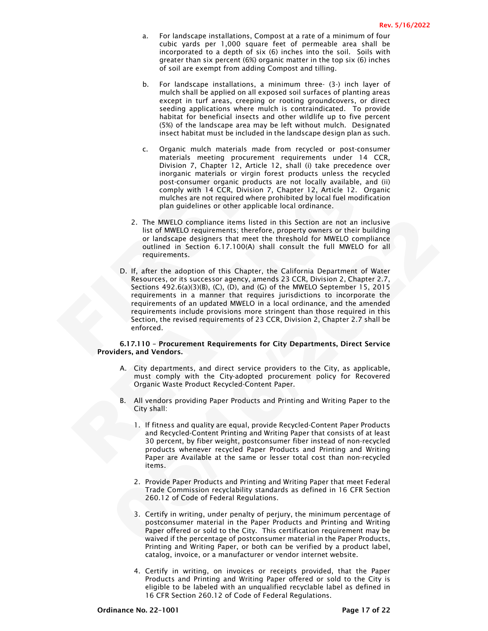- a. For landscape installations, Compost at a rate of a minimum of four cubic yards per 1,000 square feet of permeable area shall be incorporated to a depth of six (6) inches into the soil. Soils with greater than six percent (6%) organic matter in the top six (6) inches of soil are exempt from adding Compost and tilling.
- b. For landscape installations, a minimum three- (3-) inch layer of mulch shall be applied on all exposed soil surfaces of planting areas except in turf areas, creeping or rooting groundcovers, or direct seeding applications where mulch is contraindicated. To provide habitat for beneficial insects and other wildlife up to five percent (5%) of the landscape area may be left without mulch. Designated insect habitat must be included in the landscape design plan as such.
- c. Organic mulch materials made from recycled or post-consumer materials meeting procurement requirements under 14 CCR, Division 7, Chapter 12, Article 12, shall (i) take precedence over inorganic materials or virgin forest products unless the recycled post-consumer organic products are not locally available, and (ii) comply with 14 CCR, Division 7, Chapter 12, Article 12. Organic mulches are not required where prohibited by local fuel modification plan guidelines or other applicable local ordinance.
- 2. The MWELO compliance items listed in this Section are not an inclusive list of MWELO requirements; therefore, property owners or their building or landscape designers that meet the threshold for MWELO compliance outlined in Section 6.17.100(A) shall consult the full MWELO for all requirements.
- Division 7, Chapter 12, Article<br>inorganic materials or virgin fo<br>post-consumer organic products<br>comply with 14 CCR, Division 7<br>mulches are not required where p<br>plan guidelines or other applicab<br>2. The MWELO compliance item ost-consumer organic products are not locally available, and<br>comply with 14 CCR, Division 7, Chapter 12, Article 12. Organulables are not required where prohibited by local fuel modifications<br>multiples are not required whe 2. The MWELO compliance tiems listed in this Section are not an inclusive<br>list of MWELO requirements; therefore, property owners or their building<br>or landsoge designers that meet the threshold for MWELO compliance<br>outlined D. If, after the adoption of this Chapter, the California Department of Water Resources, or its successor agency, amends 23 CCR, Division 2, Chapter 2.7, Sections 492.6(a)(3)(B), (C), (D), and (G) of the MWELO September 15, 2015 requirements in a manner that requires jurisdictions to incorporate the requirements of an updated MWELO in a local ordinance, and the amended requirements include provisions more stringent than those required in this Section, the revised requirements of 23 CCR, Division 2, Chapter 2.7 shall be enforced.

### 6.17.110 – Procurement Requirements for City Departments, Direct Service Providers, and Vendors.

- A. City departments, and direct service providers to the City, as applicable, must comply with the City-adopted procurement policy for Recovered Organic Waste Product Recycled-Content Paper.
- B. All vendors providing Paper Products and Printing and Writing Paper to the City shall:
	- 1. If fitness and quality are equal, provide Recycled-Content Paper Products and Recycled-Content Printing and Writing Paper that consists of at least 30 percent, by fiber weight, postconsumer fiber instead of non-recycled products whenever recycled Paper Products and Printing and Writing Paper are Available at the same or lesser total cost than non-recycled items.
	- 2. Provide Paper Products and Printing and Writing Paper that meet Federal Trade Commission recyclability standards as defined in 16 CFR Section 260.12 of Code of Federal Regulations.
	- 3. Certify in writing, under penalty of perjury, the minimum percentage of postconsumer material in the Paper Products and Printing and Writing Paper offered or sold to the City. This certification requirement may be waived if the percentage of postconsumer material in the Paper Products, Printing and Writing Paper, or both can be verified by a product label, catalog, invoice, or a manufacturer or vendor internet website.
	- 4. Certify in writing, on invoices or receipts provided, that the Paper Products and Printing and Writing Paper offered or sold to the City is eligible to be labeled with an unqualified recyclable label as defined in 16 CFR Section 260.12 of Code of Federal Regulations.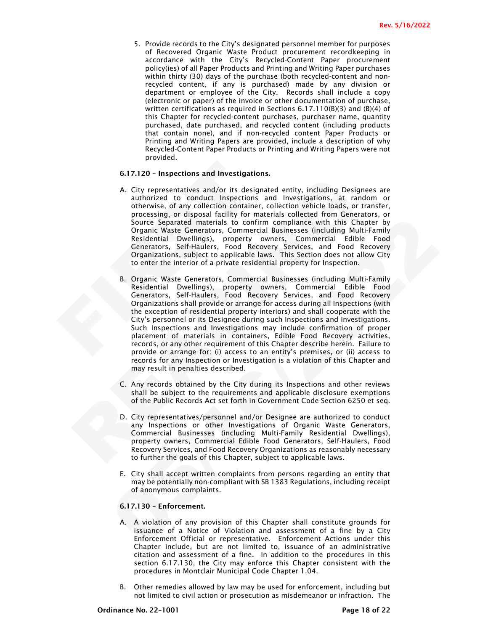5. Provide records to the City's designated personnel member for purposes of Recovered Organic Waste Product procurement recordkeeping in accordance with the City's Recycled-Content Paper procurement policy(ies) of all Paper Products and Printing and Writing Paper purchases within thirty (30) days of the purchase (both recycled-content and nonrecycled content, if any is purchased) made by any division or department or employee of the City. Records shall include a copy (electronic or paper) of the invoice or other documentation of purchase, written certifications as required in Sections 6.17.110(B)(3) and (B)(4) of this Chapter for recycled-content purchases, purchaser name, quantity purchased, date purchased, and recycled content (including products that contain none), and if non-recycled content Paper Products or Printing and Writing Papers are provided, include a description of why Recycled-Content Paper Products or Printing and Writing Papers were not provided.

#### 6.17.120 – Inspections and Investigations.

- A. City representatives and/or its designated entity, including Designees are authorized to conduct Inspections and Investigations, at random or otherwise, of any collection container, collection vehicle loads, or transfer, processing, or disposal facility for materials collected from Generators, or Source Separated materials to confirm compliance with this Chapter by Organic Waste Generators, Commercial Businesses (including Multi-Family Residential Dwellings), property owners, Commercial Edible Food Generators, Self-Haulers, Food Recovery Services, and Food Recovery Organizations, subject to applicable laws. This Section does not allow City to enter the interior of a private residential property for Inspection.
- **6.17.120 Inspections and Investigations.**<br>
A. City representatives and/or its designate authorized to conduct Inspections an otherwise, of any collection container, co processing, or disposal facility for material Resid A. City representatives and/or its designated entity, including Designees<br>
authorized to conduct inspections and Investigations, at random<br>
otherwise, of any collection container, collection vehicle loads, or trans<br>
proces Source Separated materials: to continuo complement with this Chapter by<br>Corganic Waste Generators, Commercial Businesses (including Multi-Family<br>Regidental Develings), property owners, Commercial Childe Food<br>Cenerators, Se B. Organic Waste Generators, Commercial Businesses (including Multi-Family Residential Dwellings), property owners, Commercial Edible Food Generators, Self-Haulers, Food Recovery Services, and Food Recovery Organizations shall provide or arrange for access during all Inspections (with the exception of residential property interiors) and shall cooperate with the City's personnel or its Designee during such Inspections and Investigations. Such Inspections and Investigations may include confirmation of proper placement of materials in containers, Edible Food Recovery activities, records, or any other requirement of this Chapter describe herein. Failure to provide or arrange for: (i) access to an entity's premises, or (ii) access to records for any Inspection or Investigation is a violation of this Chapter and may result in penalties described.
	- C. Any records obtained by the City during its Inspections and other reviews shall be subject to the requirements and applicable disclosure exemptions of the Public Records Act set forth in Government Code Section 6250 et seq.
	- D. City representatives/personnel and/or Designee are authorized to conduct any Inspections or other Investigations of Organic Waste Generators, Commercial Businesses (including Multi-Family Residential Dwellings), property owners, Commercial Edible Food Generators, Self-Haulers, Food Recovery Services, and Food Recovery Organizations as reasonably necessary to further the goals of this Chapter, subject to applicable laws.
	- E. City shall accept written complaints from persons regarding an entity that may be potentially non-compliant with SB 1383 Regulations, including receipt of anonymous complaints.

# 6.17.130 – Enforcement.

- A. A violation of any provision of this Chapter shall constitute grounds for issuance of a Notice of Violation and assessment of a fine by a City Enforcement Official or representative. Enforcement Actions under this Chapter include, but are not limited to, issuance of an administrative citation and assessment of a fine. In addition to the procedures in this section 6.17.130, the City may enforce this Chapter consistent with the procedures in Montclair Municipal Code Chapter 1.04.
- B. Other remedies allowed by law may be used for enforcement, including but not limited to civil action or prosecution as misdemeanor or infraction. The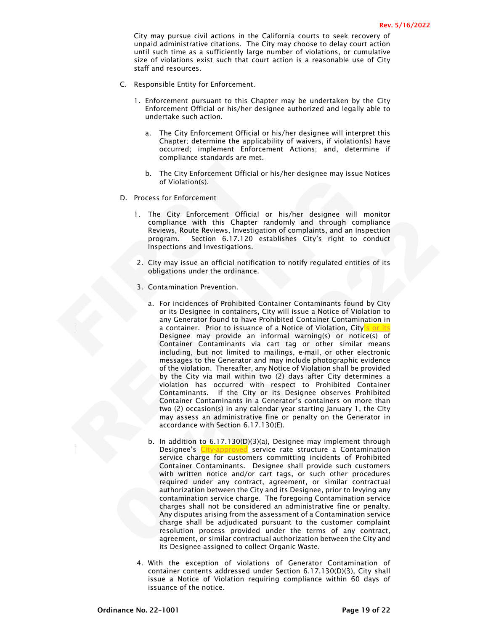City may pursue civil actions in the California courts to seek recovery of unpaid administrative citations. The City may choose to delay court action until such time as a sufficiently large number of violations, or cumulative size of violations exist such that court action is a reasonable use of City staff and resources.

- C. Responsible Entity for Enforcement.
	- 1. Enforcement pursuant to this Chapter may be undertaken by the City Enforcement Official or his/her designee authorized and legally able to undertake such action.
		- a. The City Enforcement Official or his/her designee will interpret this Chapter; determine the applicability of waivers, if violation(s) have occurred; implement Enforcement Actions; and, determine if compliance standards are met.
		- b. The City Enforcement Official or his/her designee may issue Notices of Violation(s).
- D. Process for Enforcement
	- 1. The City Enforcement Official or his/her designee will monitor compliance with this Chapter randomly and through compliance Reviews, Route Reviews, Investigation of complaints, and an Inspection program. Section 6.17.120 establishes City's right to conduct Inspections and Investigations.
	- 2. City may issue an official notification to notify regulated entities of its obligations under the ordinance.
	- 3. Contamination Prevention.
- b. The City Enforcement Official or of Violation(s).<br>
D. Process for Enforcement<br>
1. The City Enforcement Official or compliance with this Chapter ran<br>
Reviews, Route Reviews, Investigation<br>
program. Section 6.17.120 esta<br> or Violations).<br>
The City Enforcement Official or his/her designee will monotographic environment of this Chapter and only a complision of complisions, and the Reviews, Investigation of complisions, and an Inspection schem compliance with this Charler randomly and through compliance with experiments and a measurement of the scale series, investigation of complaints, and an inspection program. Section 6.17.120 establishes City's right to cond a. For incidences of Prohibited Container Contaminants found by City or its Designee in containers, City will issue a Notice of Violation to any Generator found to have Prohibited Container Contamination in a container. Prior to issuance of a Notice of Violation, City's or its Designee may provide an informal warning(s) or notice(s) of Container Contaminants via cart tag or other similar means including, but not limited to mailings, e-mail, or other electronic messages to the Generator and may include photographic evidence of the violation. Thereafter, any Notice of Violation shall be provided by the City via mail within two (2) days after City determines a violation has occurred with respect to Prohibited Container Contaminants. If the City or its Designee observes Prohibited Container Contaminants in a Generator's containers on more than two (2) occasion(s) in any calendar year starting January 1, the City may assess an administrative fine or penalty on the Generator in accordance with Section 6.17.130(E).
	- b. In addition to 6.17.130(D)(3)(a), Designee may implement through Designee's City-approved service rate structure a Contamination service charge for customers committing incidents of Prohibited Container Contaminants. Designee shall provide such customers with written notice and/or cart tags, or such other procedures required under any contract, agreement, or similar contractual authorization between the City and its Designee, prior to levying any contamination service charge. The foregoing Contamination service charges shall not be considered an administrative fine or penalty. Any disputes arising from the assessment of a Contamination service charge shall be adjudicated pursuant to the customer complaint resolution process provided under the terms of any contract, agreement, or similar contractual authorization between the City and its Designee assigned to collect Organic Waste.
	- 4. With the exception of violations of Generator Contamination of container contents addressed under Section 6.17.130(D)(3), City shall issue a Notice of Violation requiring compliance within 60 days of issuance of the notice.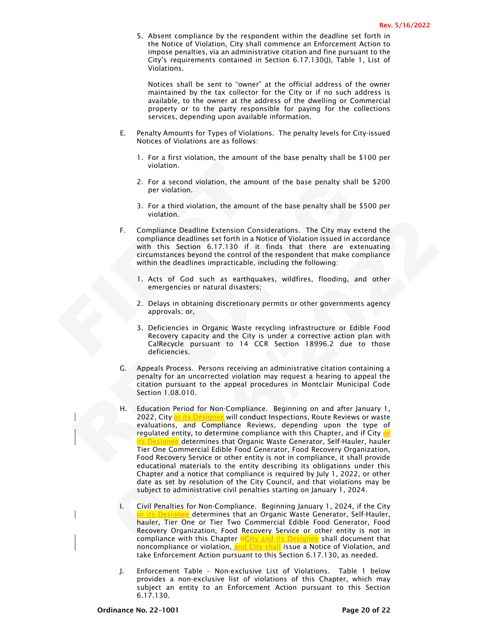5. Absent compliance by the respondent within the deadline set forth in the Notice of Violation, City shall commence an Enforcement Action to impose penalties, via an administrative citation and fine pursuant to the City's requirements contained in Section 6.17.130(J), Table 1, List of Violations.

Notices shall be sent to "owner" at the official address of the owner maintained by the tax collector for the City or if no such address is available, to the owner at the address of the dwelling or Commercial property or to the party responsible for paying for the collections services, depending upon available information.

- E. Penalty Amounts for Types of Violations. The penalty levels for City-issued Notices of Violations are as follows:
	- 1. For a first violation, the amount of the base penalty shall be \$100 per violation.
	- 2. For a second violation, the amount of the base penalty shall be \$200 per violation.
	- 3. For a third violation, the amount of the base penalty shall be \$500 per violation.
- violation.<br>
2. For a second violation, the amount<br>
per violation.<br>
3. For a third violation, the amount of<br>
violation.<br>
F. Compliance Deadline Extension Consid<br>
compliance deadlines set forth in a Notician<br>
with this Secti F. Compliance Deadline Extension Considerations. The City may extend the compliance deadlines set forth in a Notice of Violation issued in accordance with this Section 6.17.130 if it finds that there are extenuating circumstances beyond the control of the respondent that make compliance within the deadlines impracticable, including the following:
	- 1. Acts of God such as earthquakes, wildfires, flooding, and other emergencies or natural disasters;
	- 2. Delays in obtaining discretionary permits or other governments agency approvals; or,
	- 3. Deficiencies in Organic Waste recycling infrastructure or Edible Food Recovery capacity and the City is under a corrective action plan with CalRecycle pursuant to 14 CCR Section 18996.2 due to those deficiencies.
	- G. Appeals Process. Persons receiving an administrative citation containing a penalty for an uncorrected violation may request a hearing to appeal the citation pursuant to the appeal procedures in Montclair Municipal Code Section 1.08.010.
	- 2. For a second violation, the amount of the base penalty shall be \$1<br>
	9. Tor a third violation, the amount of the base penalty shall be \$500<br>
	3. For a third violation, the amount of the base penalty shall be \$500<br>
	violati F. Compliance Deadline Extension Considerations. The City may extend the<br>compliance Deadline Extension Considerations. The City may extend the<br>compliance deadlines set forth in Notice of Violation issues.<br>
	The set in this H. Education Period for Non-Compliance. Beginning on and after January 1, 2022, City or its Designee will conduct Inspections, Route Reviews or waste evaluations, and Compliance Reviews, depending upon the type of regulated entity, to determine compliance with this Chapter, and if City or <mark>ts Designee</mark> determines that Organic Waste Generator, Self-Hauler, hauler Tier One Commercial Edible Food Generator, Food Recovery Organization, Food Recovery Service or other entity is not in compliance, it shall provide educational materials to the entity describing its obligations under this Chapter and a notice that compliance is required by July 1, 2022, or other date as set by resolution of the City Council, and that violations may be subject to administrative civil penalties starting on January 1, 2024.
		- I. Civil Penalties for Non-Compliance. Beginning January 1, 2024, if the City or its Designee determines that an Organic Waste Generator, Self-Hauler, hauler, Tier One or Tier Two Commercial Edible Food Generator, Food Recovery Organization, Food Recovery Service or other entity is not in compliance with this Chapter **itCity and its Designee** shall document that noncompliance or violation, and City shall issue a Notice of Violation, and take Enforcement Action pursuant to this Section 6.17.130, as needed.
		- J. Enforcement Table Non-exclusive List of Violations. Table 1 below provides a non-exclusive list of violations of this Chapter, which may subject an entity to an Enforcement Action pursuant to this Section 6.17.130.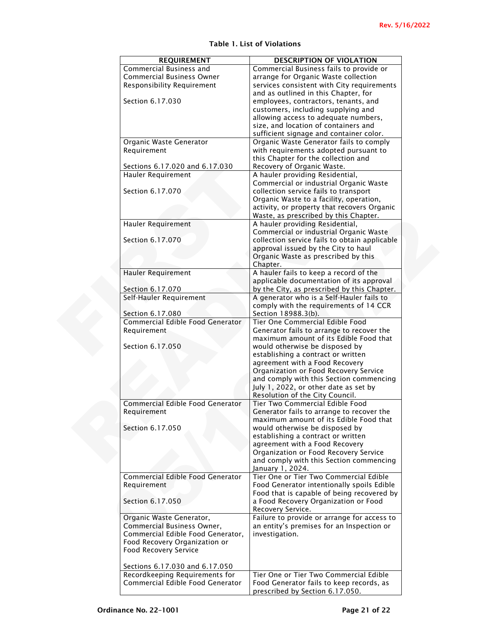| <b>REQUIREMENT</b><br>Commercial Business and | <b>DESCRIPTION OF VIOLATION</b>                                                 |
|-----------------------------------------------|---------------------------------------------------------------------------------|
| <b>Commercial Business Owner</b>              | Commercial Business fails to provide or<br>arrange for Organic Waste collection |
| Responsibility Requirement                    | services consistent with City requirements                                      |
|                                               | and as outlined in this Chapter, for                                            |
| Section 6.17.030                              | employees, contractors, tenants, and                                            |
|                                               | customers, including supplying and                                              |
|                                               | allowing access to adequate numbers,                                            |
|                                               | size, and location of containers and                                            |
|                                               | sufficient signage and container color.                                         |
| Organic Waste Generator                       | Organic Waste Generator fails to comply                                         |
| Requirement                                   | with requirements adopted pursuant to                                           |
|                                               | this Chapter for the collection and                                             |
|                                               | Recovery of Organic Waste.                                                      |
| Sections 6.17.020 and 6.17.030                |                                                                                 |
| Hauler Requirement                            | A hauler providing Residential,                                                 |
|                                               | Commercial or industrial Organic Waste                                          |
| Section 6.17.070                              | collection service fails to transport                                           |
|                                               | Organic Waste to a facility, operation,                                         |
|                                               | activity, or property that recovers Organic                                     |
|                                               | Waste, as prescribed by this Chapter.                                           |
| <b>Hauler Requirement</b>                     | A hauler providing Residential,                                                 |
|                                               | Commercial or industrial Organic Waste                                          |
| Section 6.17.070                              | collection service fails to obtain applicable                                   |
|                                               | approval issued by the City to haul                                             |
|                                               | Organic Waste as prescribed by this                                             |
|                                               | Chapter.                                                                        |
| Hauler Requirement                            | A hauler fails to keep a record of the                                          |
|                                               | applicable documentation of its approval                                        |
| Section 6.17.070                              | by the City, as prescribed by this Chapter.                                     |
| Self-Hauler Requirement                       | A generator who is a Self-Hauler fails to                                       |
|                                               | comply with the requirements of 14 CCR                                          |
| Section 6.17.080                              | Section 18988.3(b).                                                             |
| Commercial Edible Food Generator              | Tier One Commercial Edible Food                                                 |
| Requirement                                   | Generator fails to arrange to recover the                                       |
|                                               | maximum amount of its Edible Food that                                          |
| Section 6.17.050                              | would otherwise be disposed by                                                  |
|                                               | establishing a contract or written                                              |
|                                               | agreement with a Food Recovery                                                  |
|                                               | Organization or Food Recovery Service                                           |
|                                               | and comply with this Section commencing                                         |
|                                               | July 1, 2022, or other date as set by                                           |
|                                               | Resolution of the City Council.                                                 |
| Commercial Edible Food Generator              | Tier Two Commercial Edible Food                                                 |
| Requirement                                   | Generator fails to arrange to recover the                                       |
|                                               | maximum amount of its Edible Food that                                          |
| Section 6.17.050                              | would otherwise be disposed by                                                  |
|                                               | establishing a contract or written                                              |
|                                               | agreement with a Food Recovery                                                  |
|                                               | Organization or Food Recovery Service                                           |
|                                               | and comply with this Section commencing                                         |
|                                               | January 1, 2024.                                                                |
| Commercial Edible Food Generator              | Tier One or Tier Two Commercial Edible                                          |
| Requirement                                   | Food Generator intentionally spoils Edible                                      |
|                                               | Food that is capable of being recovered by                                      |
| Section 6.17.050                              | a Food Recovery Organization or Food                                            |
|                                               |                                                                                 |
|                                               | Recovery Service.                                                               |
| Organic Waste Generator,                      | Failure to provide or arrange for access to                                     |
| Commercial Business Owner,                    | an entity's premises for an Inspection or                                       |
|                                               |                                                                                 |
| Commercial Edible Food Generator,             | investigation.                                                                  |
| Food Recovery Organization or                 |                                                                                 |
| Food Recovery Service                         |                                                                                 |
|                                               |                                                                                 |
| Sections 6.17.030 and 6.17.050                |                                                                                 |
| Recordkeeping Requirements for                | Tier One or Tier Two Commercial Edible                                          |
| Commercial Edible Food Generator              | Food Generator fails to keep records, as<br>prescribed by Section 6.17.050.     |

# Table 1. List of Violations